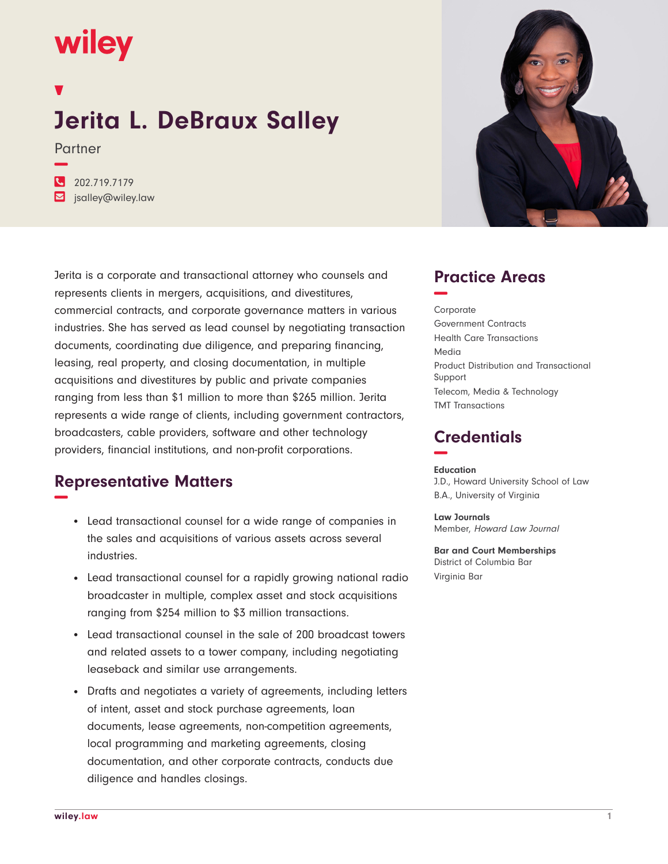# **wiley**

**−**

## **Jerita L. DeBraux Salley**

Partner

**�** 202.719.7179 **�** jsalley@wiley.law

Jerita is a corporate and transactional attorney who counsels and represents clients in mergers, acquisitions, and divestitures, commercial contracts, and corporate governance matters in various industries. She has served as lead counsel by negotiating transaction documents, coordinating due diligence, and preparing financing, leasing, real property, and closing documentation, in multiple acquisitions and divestitures by public and private companies ranging from less than \$1 million to more than \$265 million. Jerita represents a wide range of clients, including government contractors, broadcasters, cable providers, software and other technology providers, financial institutions, and non-profit corporations.

#### **Representative Matters −**

- Lead transactional counsel for a wide range of companies in the sales and acquisitions of various assets across several industries.
- Lead transactional counsel for a rapidly growing national radio broadcaster in multiple, complex asset and stock acquisitions ranging from \$254 million to \$3 million transactions.
- Lead transactional counsel in the sale of 200 broadcast towers and related assets to a tower company, including negotiating leaseback and similar use arrangements.
- Drafts and negotiates a variety of agreements, including letters of intent, asset and stock purchase agreements, loan documents, lease agreements, non-competition agreements, local programming and marketing agreements, closing documentation, and other corporate contracts, conducts due diligence and handles closings.



#### **Practice Areas −**

Corporate Government Contracts Health Care Transactions Media Product Distribution and Transactional Support Telecom, Media & Technology TMT Transactions

### **Credentials −**

#### **Education**

J.D., Howard University School of Law B.A., University of Virginia

**Law Journals** Member, Howard Law Journal

**Bar and Court Memberships** District of Columbia Bar Virginia Bar